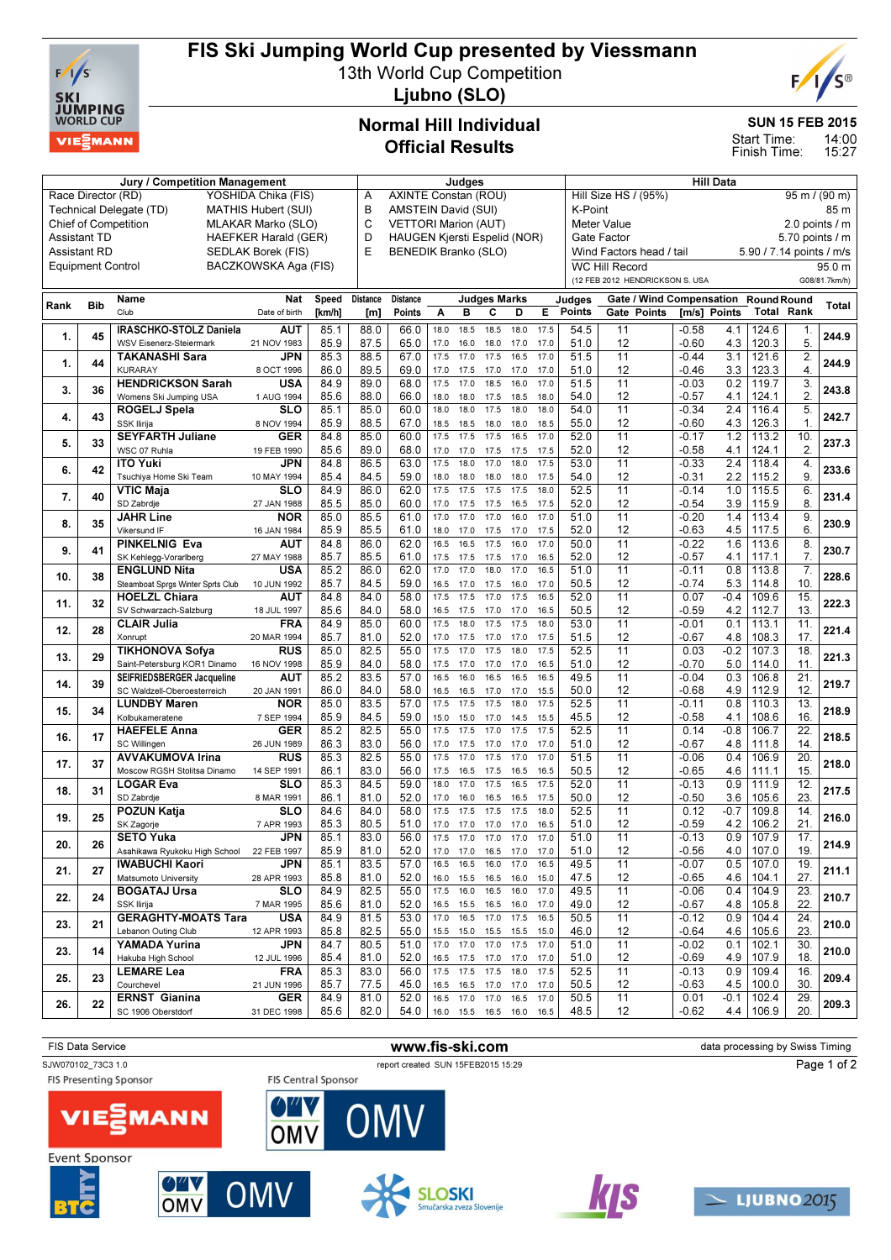

# FIS Ski Jumping World Cup presented by Viessmann

13th World Cup Competition



Ljubno (SLO)

Jury / Competition Management **All Data** Judges **Hill Data** Hill Data

## Normal Hill Individual Official Results

#### SUN 15 FEB 2015

14:00 15:27 Start Time: Finish Time:

| Race Director (RD)<br>YOSHIDA Chika (FIS)                                            |                          |                                                           |                      |              | Α                                                       | AXINTE Constan (ROU)<br>B           |              |                                                 |                     |              |              |               | Hill Size HS / (95%)<br>$95 \text{ m}$ / (90 m)         |             |                                 |                          |                                 |                   |                 |
|--------------------------------------------------------------------------------------|--------------------------|-----------------------------------------------------------|----------------------|--------------|---------------------------------------------------------|-------------------------------------|--------------|-------------------------------------------------|---------------------|--------------|--------------|---------------|---------------------------------------------------------|-------------|---------------------------------|--------------------------|---------------------------------|-------------------|-----------------|
| Technical Delegate (TD)<br><b>MATHIS Hubert (SUI)</b><br><b>Chief of Competition</b> |                          |                                                           |                      |              | AMSTEIN David (SUI)<br>C<br><b>VETTORI Marion (AUT)</b> |                                     |              |                                                 |                     |              |              |               | K-Point<br>85 m<br><b>Meter Value</b><br>2.0 points / m |             |                                 |                          |                                 |                   |                 |
| MLAKAR Marko (SLO)                                                                   |                          |                                                           |                      |              |                                                         |                                     |              |                                                 |                     |              |              |               |                                                         |             |                                 |                          |                                 |                   |                 |
| <b>Assistant TD</b><br><b>HAEFKER Harald (GER)</b>                                   |                          |                                                           |                      |              | D                                                       | <b>HAUGEN Kjersti Espelid (NOR)</b> |              |                                                 |                     |              |              |               | Gate Factor                                             |             |                                 |                          |                                 |                   | 5.70 points / m |
| <b>Assistant RD</b><br>SEDLAK Borek (FIS)                                            |                          |                                                           |                      | E            | BENEDIK Branko (SLO)                                    |                                     |              |                                                 |                     |              |              |               | Wind Factors head / tail                                |             |                                 | 5.90 / 7.14 points / m/s |                                 |                   |                 |
|                                                                                      | <b>Equipment Control</b> |                                                           | BACZKOWSKA Aga (FIS) |              |                                                         |                                     |              |                                                 |                     |              |              |               | <b>WC Hill Record</b>                                   |             |                                 |                          |                                 |                   | 95.0 m          |
|                                                                                      |                          |                                                           |                      |              |                                                         |                                     |              |                                                 |                     |              |              |               |                                                         |             | (12 FEB 2012 HENDRICKSON S. USA |                          |                                 |                   | G08/81.7km/h)   |
| Rank                                                                                 | <b>Bib</b>               | Name                                                      | Nat                  | Speed        | <b>Distance</b>                                         | <b>Distance</b>                     |              |                                                 | <b>Judges Marks</b> |              |              | Judges        |                                                         |             | <b>Gate / Wind Compensation</b> |                          | <b>Round Round</b>              |                   | Total           |
|                                                                                      |                          | Club                                                      | Date of birth        | [km/h]       | [m]                                                     | Points                              | Α            | в                                               | c                   | D            | Е            | <b>Points</b> |                                                         | Gate Points | [m/s] Points                    |                          | <b>Total Rank</b>               |                   |                 |
|                                                                                      |                          | IRASCHKO-STOLZ Daniela                                    | AUT                  | 85.1         | 88.0                                                    | 66.0                                | 18.0         | 18.5                                            | 18.5                | 18.0         | 17.5         | 54.5          | 11                                                      |             | $-0.58$                         | 4.1                      | 124.6                           | 1.                |                 |
| 1.                                                                                   | 45                       | WSV Eisenerz-Steiermark                                   | 21 NOV 1983          | 85.9         | 87.5                                                    | 65.0                                | 17.0         | 16.0                                            | 18.0                | 17.0         | 17.0         | 51.0          | 12                                                      |             | $-0.60$                         | 4.3                      | 120.3                           | 5.                | 244.9           |
|                                                                                      |                          | <b>TAKANASHI Sara</b>                                     | JPN                  | 85.3         | 88.5                                                    | 67.0                                | 17.5         | 17.0                                            | 17.5                | 16.5         | 17.0         | 51.5          | 11                                                      |             | $-0.44$                         | 3.1                      | 121.6                           | $\overline{2}$    |                 |
| 1.                                                                                   | 44                       | <b>KURARAY</b>                                            | 8 OCT 1996           | 86.0         | 89.5                                                    | 69.0                                | 17.0         | 17.5                                            | 17.0                | 17.0         | 17.0         | 51.0          | 12                                                      |             | -0.46                           | 3.3                      | 123.3                           | $\overline{4}$ .  | 244.9           |
|                                                                                      | 36                       | <b>HENDRICKSON Sarah</b>                                  | USA                  | 84.9         | 89.0                                                    | 68.0                                | 17.5         | 17.0                                            | 18.5                | 16.0         | 17.0         | 51.5          | $\overline{11}$                                         |             | $-0.03$                         | 0.2                      | 119.7                           | 3.                | 243.8           |
| 3.                                                                                   |                          | Womens Ski Jumping USA                                    | 1 AUG 1994           | 85.6         | 88.0                                                    | 66.0                                | 18.0         | 18.0                                            | 17.5                | 18.5         | 18.0         | 54.0          | 12                                                      |             | $-0.57$                         | 4.1                      | 124.1                           | $\overline{2}$    |                 |
| 4.                                                                                   | 43                       | ROGELJ Spela                                              | SLO                  | 85.1         | 85.0                                                    | 60.0                                | 18.0         | 18.0                                            | 17.5                | 18.0         | 18.0         | 54.0          | 11                                                      |             | $-0.34$                         | 2.4                      | 116.4                           | $\overline{5}$    | 242.7           |
|                                                                                      |                          | SSK Ilirija                                               | 8 NOV 1994           | 85.9         | 88.5                                                    | 67.0                                | 18.5         | 18.5                                            | 18.0                | 18.0         | 18.5         | 55.0          | 12                                                      |             | $-0.60$                         | 4.3                      | 126.3                           | $\mathbf{1}$      |                 |
| 5.                                                                                   | 33                       | <b>SEYFARTH Juliane</b>                                   | GER                  | 84.8         | 85.0                                                    | 60.0                                | 17.5         | 17.5                                            | 17.5                | 16.5         | 17.0         | 52.0          | 11                                                      |             | $-0.17$                         | 1.2                      | 113.2                           | 10.               | 237.3           |
|                                                                                      |                          | WSC 07 Ruhla                                              | 19 FEB 1990          | 85.6         | 89.0                                                    | 68.0                                | 17.0         | 17.0                                            | 17.5                | 17.5         | 17.5         | 52.0          | 12                                                      |             | $-0.58$                         | 4.1                      | 124.1                           | 2.                |                 |
| 6.                                                                                   | 42                       | <b>ITO Yuki</b>                                           | JPN                  | 84.8         | 86.5                                                    | 63.0                                | 17.5         | 18.0                                            | 17.0                | 18.0         | 17.5         | 53.0          | $\overline{11}$                                         |             | $-0.33$                         | 2.4                      | 118.4                           | $\overline{4}$    | 233.6           |
|                                                                                      |                          | Tsuchiya Home Ski Team                                    | 10 MAY 1994          | 85.4         | 84.5                                                    | 59.0                                | 18.0         | 18.0                                            | 18.0                | 18.0         | 17.5         | 54.0          | 12                                                      |             | -0.31                           | 2.2                      | 115.2                           | 9.                |                 |
| 7.                                                                                   | 40                       | VTIC Maja                                                 | SLO                  | 84.9         | 86.0                                                    | 62.0                                | 17.5         | 17.5                                            | 17.5                | 17.5         | 18.0         | 52.5          | 11                                                      |             | $-0.14$                         | 1.0                      | 115.5                           | 6.                | 231.4           |
|                                                                                      |                          | SD Zabrdje                                                | 27 JAN 1988          | 85.5         | 85.0                                                    | 60.0                                | 17.0         | 17.5                                            | 17.5                | 16.5         | 17.5         | 52.0          | 12                                                      |             | $-0.54$                         | 3.9                      | 115.9                           | 8.                |                 |
| 8.                                                                                   | 35                       | <b>JAHR Line</b>                                          | <b>NOR</b>           | 85.0         | 85.5                                                    | 61.0                                | 17.0         | 17.0                                            | 17.0                | 16.0         | 17.0         | 51.0          | 11                                                      |             | $-0.20$                         | 1.4                      | 113.4                           | 9.                | 230.9           |
|                                                                                      |                          | Vikersund IF                                              | 16 JAN 1984          | 85.9         | 85.5                                                    | 61.0                                | 18.0         | 17.0                                            | 17.5                | 17.0         | 17.5         | 52.0          | 12                                                      |             | $-0.63$                         | 4.5                      | 117.5                           | 6.                |                 |
| 9.                                                                                   | 41                       | PINKELNIG Eva                                             | AUT                  | 84.8         | 86.0                                                    | 62.0                                | 16.5         | 16.5                                            | 17.5                | 16.0         | 17.0         | 50.0          | 11                                                      |             | $-0.22$                         | 1.6                      | 113.6                           | 8.                | 230.7           |
|                                                                                      |                          | SK Kehlegg-Vorarlberg                                     | 27 MAY 1988          | 85.7         | 85.5                                                    | 61.0                                | 17.5<br>17.0 | 17.5<br>17.0                                    | 17.5<br>18.0        | 17.0<br>17.0 | 16.5<br>16.5 | 52.0          | 12                                                      |             | $-0.57$                         | 4.1                      | 117.1                           | 7.                |                 |
| 10.                                                                                  | 38                       | <b>ENGLUND Nita</b>                                       | USA                  | 85.2<br>85.7 | 86.0<br>84.5                                            | 62.0<br>59.0                        |              |                                                 |                     |              |              | 51.0<br>50.5  | 11<br>12                                                |             | $-0.11$<br>$-0.74$              | 0.8<br>5.3               | 113.8<br>114.8                  | 7.<br>10.         | 228.6           |
|                                                                                      |                          | Steamboat Sprgs Winter Sprts Club<br><b>HOELZL Chiara</b> | 10 JUN 1992<br>AUT   | 84.8         | 84.0                                                    | 58.0                                | 16.5<br>17.5 | 17.0<br>17.5                                    | 17.5<br>17.0        | 16.0<br>17.5 | 17.0<br>16.5 | 52.0          | 11                                                      |             | 0.07                            | $-0.4$                   | 109.6                           | 15.               |                 |
| 11.                                                                                  | 32                       | SV Schwarzach-Salzburg                                    | 18 JUL 1997          | 85.6         | 84.0                                                    | 58.0                                | 16.5         | 17.5                                            | 17.0                | 17.0         | 16.5         | 50.5          | 12                                                      |             | $-0.59$                         | 4.2                      | 112.7                           | 13.               | 222.3           |
|                                                                                      |                          | <b>CLAIR Julia</b>                                        | <b>FRA</b>           | 84.9         | 85.0                                                    | 60.0                                | 17.5         | 18.0                                            | 17.5                | 17.5         | 18.0         | 53.0          | 11                                                      |             | $-0.01$                         | 0.1                      | 113.1                           | 11.               |                 |
| 12.                                                                                  | 28                       | Xonrupt                                                   | 20 MAR 1994          | 85.7         | 81.0                                                    | 52.0                                | 17.0         | 17.5                                            | 17.0                | 17.0         | 17.5         | 51.5          | 12                                                      |             | $-0.67$                         | 4.8                      | 108.3                           | 17.               | 221.4           |
|                                                                                      |                          | <b>TIKHONOVA Sofya</b>                                    | RUS                  | 85.0         | 82.5                                                    | 55.0                                | 17.5         | 17.0                                            | 17.5                | 18.0         | 17.5         | 52.5          | 11                                                      |             | 0.03                            | $-0.2$                   | 107.3                           | 18                |                 |
| 13.                                                                                  | 29                       | Saint-Petersburg KOR1 Dinamo                              | 16 NOV 1998          | 85.9         | 84.0                                                    | 58.0                                | 17.5         | 17.0                                            | 17.0                | 17.0         | 16.5         | 51.0          | 12                                                      |             | $-0.70$                         | 5.0                      | 114.0                           | 11                | 221.3           |
|                                                                                      |                          | SEIFRIEDSBERGER Jacqueline                                | AUT                  | 85.2         | 83.5                                                    | 57.0                                | 16.5         | 16.0                                            | 16.5                | 16.5         | 16.5         | 49.5          | 11                                                      |             | $-0.04$                         | 0.3                      | 106.8                           | 21.               |                 |
| 14.                                                                                  | 39                       | SC Waldzell-Oberoesterreich                               | 20 JAN 1991          | 86.0         | 84.0                                                    | 58.0                                | 16.5         | 16.5                                            | 17.0                | 17.0         | 15.5         | 50.0          | 12                                                      |             | $-0.68$                         | 4.9                      | 112.9                           | 12.               | 219.7           |
|                                                                                      |                          | <b>LUNDBY Maren</b>                                       | <b>NOR</b>           | 85.0         | 83.5                                                    | 57.0                                | 17.5         | 17.5                                            | 17.5                | 18.0         | 17.5         | 52.5          | 11                                                      |             | $-0.11$                         | 0.8                      | 110.3                           | 13.               |                 |
| 15.                                                                                  | 34                       | Kolbukameratene                                           | 7 SEP 1994           | 85.9         | 84.5                                                    | 59.0                                | 15.0         | 15.0                                            | 17.0                | 14.5         | 15.5         | 45.5          | 12                                                      |             | $-0.58$                         | 4.1                      | 108.6                           | 16                | 218.9           |
|                                                                                      |                          | <b>HAEFELE Anna</b>                                       | <b>GER</b>           | 85.2         | 82.5                                                    | 55.0                                | 17.5         | 17.5                                            | 17.0                | 17.5         | 17.5         | 52.5          | 11                                                      |             | 0.14                            | $-0.8$                   | 106.7                           | 22                |                 |
| 16.                                                                                  | 17                       | SC Willingen                                              | 26 JUN 1989          | 86.3         | 83.0                                                    | 56.0                                | 17.0         | 17.5                                            | 17.0                | 17.0         | 17.0         | 51.0          | 12                                                      |             | $-0.67$                         | 4.8                      | 111.8                           | 14.               | 218.5           |
| 17.                                                                                  | 37                       | <b>AVVAKUMOVA Irina</b>                                   | <b>RUS</b>           | 85.3         | 82.5                                                    | 55.0                                | 17.5         | 17.0                                            | 17.5                | 17.0         | 17.0         | 51.5          | 11                                                      |             | $-0.06$                         | 0.4                      | 106.9                           | 20.               | 218.0           |
|                                                                                      |                          | Moscow RGSH Stolitsa Dinamo                               | 14 SEP 1991          | 86.1         | 83.0                                                    | 56.0                                | 17.5         | 16.5                                            | 17.5                | 16.5         | 16.5         | 50.5          | 12                                                      |             | -0.65                           | 4.6                      | 111.1                           | 15                |                 |
| 18.                                                                                  | 31                       | LOGAR Eva                                                 | <b>SLO</b>           | 85.3         | 84.5                                                    | 59.0                                | 18.0         | 17.0                                            | 17.5                | 16.5         | 17.5         | 52.0          | 11                                                      |             | $-0.13$                         | 0.9                      | 111.9                           | 12                | 217.5           |
|                                                                                      |                          | SD Zabrdje                                                | 8 MAR 1991           | 86.1         | 81.0                                                    | 52.0                                | 17.0         | 16.0                                            | 16.5                | 16.5         | 17.5         | 50.0          | 12                                                      |             | $-0.50$                         | 3.6                      | 105.6                           | 23.               |                 |
| 19.                                                                                  | 25                       | POZUN Katja                                               | <b>SLO</b>           | 84.6         | 84.0                                                    | 58.0                                | 17.5         | 17.5                                            | 17.5                | 17.5         | 18.0         | 52.5          | 11                                                      |             | 0.12                            | $-0.7$                   | 109.8                           | 14.               | 216.0           |
|                                                                                      |                          | SK Zagorje                                                | 7 APR 1993           | 85.3         | 80.5                                                    | 51.0                                | 17.0         | 17.0                                            | 17.0                | 17.0         | 16.5         | 51.0          | 12                                                      |             | $-0.59$                         | 4.2                      | 106.2                           | 21                |                 |
| 20.                                                                                  | 26                       | <b>SETO Yuka</b>                                          | JPN                  | 85.1         | 83.0                                                    | 56.0                                | 17.5         | 17.0                                            | 17.0                | 17.0         | 17.0         | 51.0          | 11                                                      |             | $-0.13$                         | 0.9                      | 107.9                           | 17.               | 214.9           |
|                                                                                      |                          | Asahikawa Ryukoku High School                             | 22 FEB 1997          | 85.9         | 81.0                                                    | 52.0                                |              | 17.0 17.0 16.5 17.0                             |                     |              | 17.0         | 51.0          | 12                                                      |             | $-0.56$                         | 4.0                      | 107.0                           | 19.               |                 |
| 21.                                                                                  | 27                       | <b>IWABUCHI Kaori</b>                                     | <b>JPN</b>           | 85.1         | 83.5                                                    | 57.0                                | 16.5         | 16.5                                            | 16.0                | 17.0         | 16.5         | 49.5          | 11                                                      |             | $-0.07$                         |                          | $0.5$ 107.0                     | $\overline{19}$ . | 211.1           |
|                                                                                      |                          | Matsumoto University                                      | 28 APR 1993          | 85.8         | 81.0                                                    | 52.0                                |              | 16.0 15.5 16.5 16.0 15.0                        |                     |              |              | 47.5          | 12                                                      |             | $-0.65$                         |                          | $4.6$   104.1                   | 27.               |                 |
| 22.                                                                                  | 24                       | <b>BOGATAJ Ursa</b>                                       | <b>SLO</b>           | 84.9         | 82.5                                                    | 55.0                                | 17.5         | 16.0                                            |                     | 16.5 16.0    | 17.0         | 49.5          | 11                                                      |             | $-0.06$                         | 0.4                      | 104.9                           | 23.               | 210.7           |
|                                                                                      |                          | SSK Ilirija                                               | 7 MAR 1995           | 85.6         | 81.0                                                    | 52.0                                |              | 16.5 15.5 16.5 16.0                             |                     |              | 17.0         | 49.0          | 12                                                      |             | $-0.67$                         | 4.8                      | 105.8                           | 22.               |                 |
| 23.                                                                                  | 21                       | <b>GERAGHTY-MOATS Tara</b>                                | <b>USA</b>           | 84.9         | 81.5                                                    | 53.0                                | 17.0         | 16.5                                            | 17.0                | 17.5         | 16.5         | 50.5          | 11                                                      |             | $-0.12$                         | 0.9                      | 104.4                           | 24.               | 210.0           |
|                                                                                      |                          | Lebanon Outing Club                                       | 12 APR 1993          | 85.8         | 82.5                                                    | 55.0                                |              | 15.5 15.0 15.5 15.5                             | 17.0                |              | 15.0<br>17.0 | 46.0          | 12                                                      |             | $-0.64$                         | 4.6                      | 105.6                           | 23.               |                 |
| 23.                                                                                  | 14                       | YAMADA Yurina<br>Hakuba High School                       | JPN<br>12 JUL 1996   | 84.7         | 80.5<br>81.0                                            | 51.0<br>52.0                        | 17.0 17.0    |                                                 |                     | 17.5         |              | 51.0<br>51.0  | 11                                                      |             | $-0.02$                         | 0.1                      | 102.1                           | 30.<br>18.        | 210.0           |
|                                                                                      |                          | LEMARE Lea                                                | FRA                  | 85.4<br>85.3 | 83.0                                                    | 56.0                                |              | 16.5 17.5 17.0 17.0 17.0<br>17.5 17.5 17.5 18.0 |                     |              | 17.5         | 52.5          | 12<br>11                                                |             | $-0.69$<br>$-0.13$              | 4.9                      | 107.9<br>$0.9$   109.4          | 16.               |                 |
| 25.                                                                                  | 23                       | Courchevel                                                | 21 JUN 1996          | 85.7         | 77.5                                                    | 45.0                                |              | 16.5 16.5 17.0 17.0 17.0                        |                     |              |              | 50.5          | 12                                                      |             | $-0.63$                         |                          | $4.5$   100.0                   | 30.               | 209.4           |
|                                                                                      |                          | <b>ERNST Gianina</b>                                      | <b>GER</b>           | 84.9         | 81.0                                                    | 52.0                                |              | 16.5 17.0 17.0 16.5                             |                     |              | 17.0         | 50.5          | 11                                                      |             | 0.01                            |                          | $-0.1$   102.4                  | 29.               |                 |
| 26.                                                                                  | 22                       | SC 1906 Oberstdorf                                        | 31 DEC 1998          | 85.6         | 82.0                                                    | 54.0                                |              | 16.0 15.5 16.5 16.0 16.5                        |                     |              |              | 48.5          | 12                                                      |             | $-0.62$                         |                          | $4.4$   106.9                   | 20.               | 209.3           |
|                                                                                      |                          |                                                           |                      |              |                                                         |                                     |              |                                                 |                     |              |              |               |                                                         |             |                                 |                          |                                 |                   |                 |
|                                                                                      |                          |                                                           |                      |              |                                                         |                                     |              |                                                 |                     |              |              |               |                                                         |             |                                 |                          |                                 |                   |                 |
|                                                                                      | <b>FIS Data Service</b>  |                                                           |                      |              |                                                         | www.fic.cki.com                     |              |                                                 |                     |              |              |               |                                                         |             |                                 |                          | data processing by Swiss Timing |                   |                 |